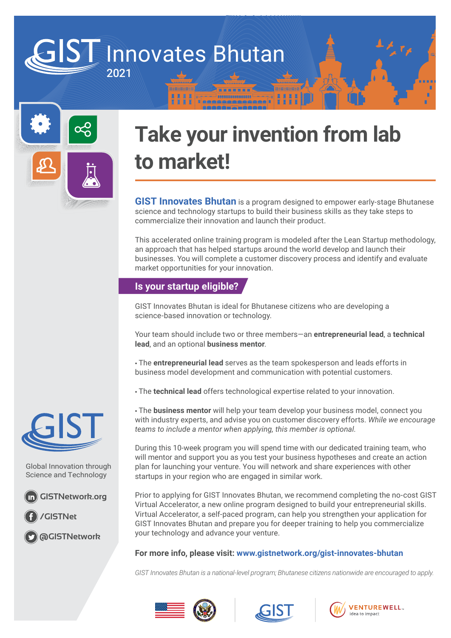### Innovates Bhutan 2021



# **Take your invention from lab to market!**

**GIST Innovates Bhutan** is a program designed to empower early-stage Bhutanese science and technology startups to build their business skills as they take steps to commercialize their innovation and launch their product.

This accelerated online training program is modeled after the Lean Startup methodology, an approach that has helped startups around the world develop and launch their businesses. You will complete a customer discovery process and identify and evaluate market opportunities for your innovation.

#### **Is your startup eligible?**

GIST Innovates Bhutan is ideal for Bhutanese citizens who are developing a science-based innovation or technology.

Your team should include two or three members—an **entrepreneurial lead**, a **technical lead**, and an optional **business mentor**.

• The **entrepreneurial lead** serves as the team spokesperson and leads efforts in business model development and communication with potential customers.

• The **technical lead** offers technological expertise related to your innovation.

• The **business mentor** will help your team develop your business model, connect you with industry experts, and advise you on customer discovery efforts. *While we encourage teams to include a mentor when applying, this member is optional.*

During this 10-week program you will spend time with our dedicated training team, who will mentor and support you as you test your business hypotheses and create an action plan for launching your venture. You will network and share experiences with other startups in your region who are engaged in similar work.

Prior to applying for GIST Innovates Bhutan, we recommend completing the no-cost GIST Virtual Accelerator, a new online program designed to build your entrepreneurial skills. Virtual Accelerator, a self-paced program, can help you strengthen your application for GIST Innovates Bhutan and prepare you for deeper training to help you commercialize your technology and advance your venture.

#### **For more info, please visit: www.gistnetwork.org/gist-innovates-bhutan**

*GIST Innovates Bhutan is a national-level program; Bhutanese citizens nationwide are encouraged to apply.*









Global Innovation through Science and Technology

**GISTNetwork.org**

**/GISTNet**

**@GISTNetwork**